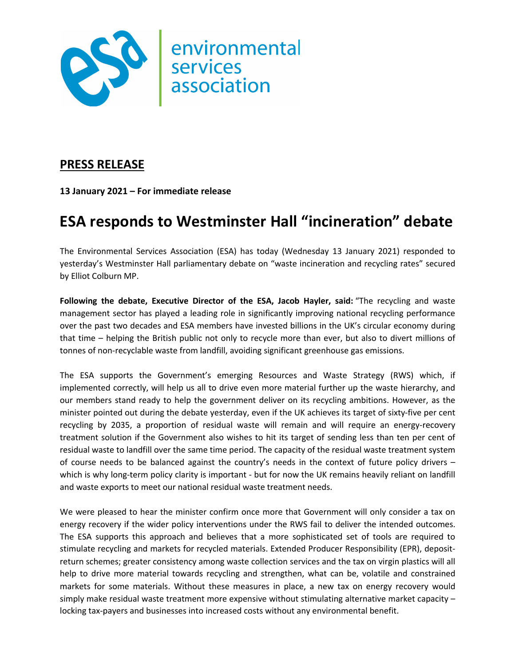

## **PRESS RELEASE**

**13 January 2021 – For immediate release**

## **ESA responds to Westminster Hall "incineration" debate**

The Environmental Services Association (ESA) has today (Wednesday 13 January 2021) responded to yesterday's Westminster Hall parliamentary debate on "waste incineration and recycling rates" secured by Elliot Colburn MP.

**Following the debate, Executive Director of the ESA, Jacob Hayler, said:** "The recycling and waste management sector has played a leading role in significantly improving national recycling performance over the past two decades and ESA members have invested billions in the UK's circular economy during that time – helping the British public not only to recycle more than ever, but also to divert millions of tonnes of non-recyclable waste from landfill, avoiding significant greenhouse gas emissions.

The ESA supports the Government's emerging Resources and Waste Strategy (RWS) which, if implemented correctly, will help us all to drive even more material further up the waste hierarchy, and our members stand ready to help the government deliver on its recycling ambitions. However, as the minister pointed out during the debate yesterday, even if the UK achieves its target of sixty-five per cent recycling by 2035, a proportion of residual waste will remain and will require an energy-recovery treatment solution if the Government also wishes to hit its target of sending less than ten per cent of residual waste to landfill over the same time period. The capacity of the residual waste treatment system of course needs to be balanced against the country's needs in the context of future policy drivers – which is why long-term policy clarity is important - but for now the UK remains heavily reliant on landfill and waste exports to meet our national residual waste treatment needs.

We were pleased to hear the minister confirm once more that Government will only consider a tax on energy recovery if the wider policy interventions under the RWS fail to deliver the intended outcomes. The ESA supports this approach and believes that a more sophisticated set of tools are required to stimulate recycling and markets for recycled materials. Extended Producer Responsibility (EPR), depositreturn schemes; greater consistency among waste collection services and the tax on virgin plastics will all help to drive more material towards recycling and strengthen, what can be, volatile and constrained markets for some materials. Without these measures in place, a new tax on energy recovery would simply make residual waste treatment more expensive without stimulating alternative market capacity – locking tax-payers and businesses into increased costs without any environmental benefit.